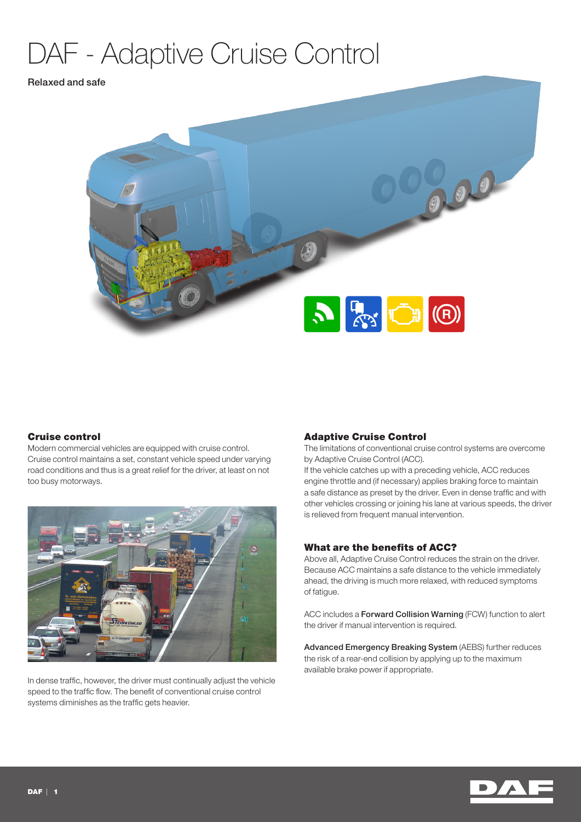# DAF - Adaptive Cruise Control

## Relaxed and safe



# Cruise control

Modern commercial vehicles are equipped with cruise control. Cruise control maintains a set, constant vehicle speed under varying road conditions and thus is a great relief for the driver, at least on not too busy motorways.



In dense traffic, however, the driver must continually adjust the vehicle speed to the traffic flow. The benefit of conventional cruise control systems diminishes as the traffic gets heavier.

## Adaptive Cruise Control

The limitations of conventional cruise control systems are overcome by Adaptive Cruise Control (ACC).

If the vehicle catches up with a preceding vehicle, ACC reduces engine throttle and (if necessary) applies braking force to maintain a safe distance as preset by the driver. Even in dense traffic and with other vehicles crossing or joining his lane at various speeds, the driver is relieved from frequent manual intervention.

## What are the benefits of ACC?

Above all, Adaptive Cruise Control reduces the strain on the driver. Because ACC maintains a safe distance to the vehicle immediately ahead, the driving is much more relaxed, with reduced symptoms of fatigue.

ACC includes a Forward Collision Warning (FCW) function to alert the driver if manual intervention is required.

Advanced Emergency Breaking System (AEBS) further reduces the risk of a rear-end collision by applying up to the maximum available brake power if appropriate.